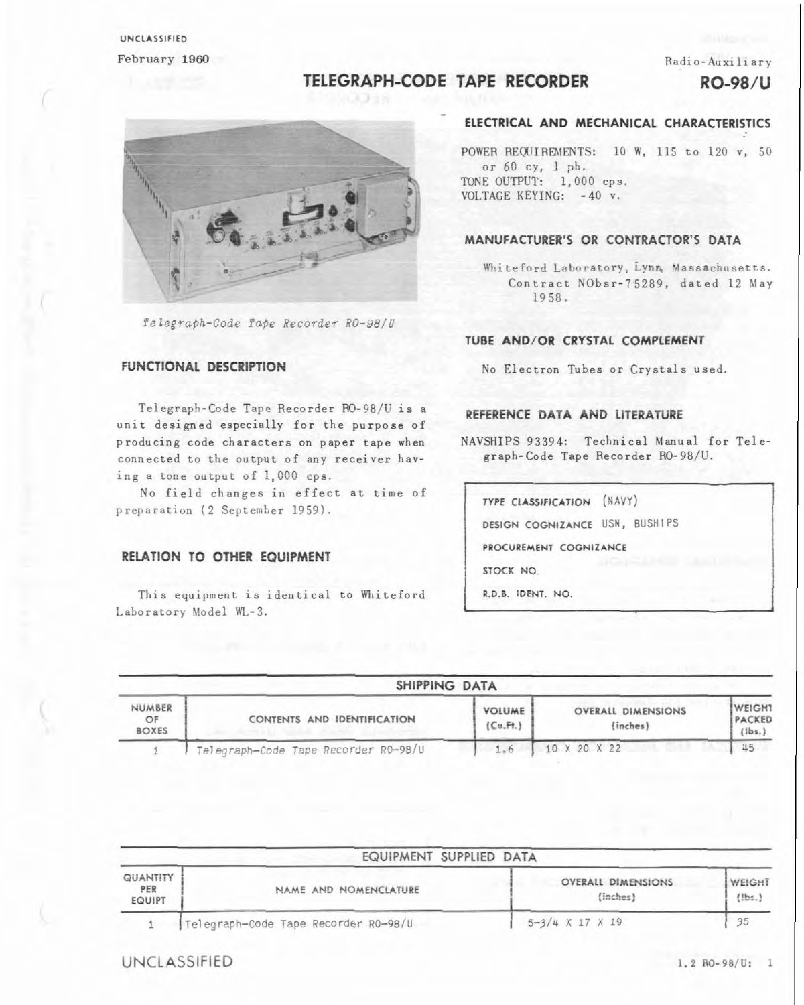## UNCLASSIFIED February 1960

#### Radio-Auxiliary

# TELEGRAPH-CODE TAPE RECORDER

RO-98/U



Telegraph-Code Tape Recorder RO-98/U

#### **FUNCTIONAL DESCRIPTION**

Telegraph-Code Tape Recorder RO-98/U is a unit designed especially for the purpose of producing code characters on paper tape when connected to the output of any receiver having a tone output of 1,000 cps.

No field changes in effect at time of preparation (2 September 1959).

#### RELATION TO OTHER EQUIPMENT

This equipment is identical to Whiteford Laboratory Model WL-3.

## ELECTRICAL AND MECHANICAL CHARACTERISTICS

POWER REQUIREMENTS: 10 W. 115 to 120 v. 50 or 60 cy, 1 ph. TONE OUTPUT: 1,000 cps. VOLTAGE KEYING: - 40 v.

#### MANUFACTURER'S OR CONTRACTOR'S DATA

Whiteford Laboratory, Lynn, Massachusetts. Contract NObsr-75289, dated 12 May 1958.

#### TUBE AND/OR CRYSTAL COMPLEMENT

No Electron Tubes or Crystals used.

#### REFERENCE DATA AND LITERATURE

NAVSHIPS 93394: Technical Manual for Telegraph-Code Tape Recorder RO-98/U.

TYPE CLASSIFICATION (NAVY) DESIGN COGNIZANCE USN, BUSHIPS PROCUREMENT COGNIZANCE STOCK NO. R.D.B. IDENT. NO.

| SHIPPING DATA                |                                      |                           |                                       |                                                        |  |
|------------------------------|--------------------------------------|---------------------------|---------------------------------------|--------------------------------------------------------|--|
| NUMBER<br>OF<br><b>BOXES</b> | CONTENTS AND IDENTIFICATION          | <b>VOLUME</b><br>(Cu.Ft.) | <b>OVERALL DIMENSIONS</b><br>(inches) | <b>IWEIGHT</b><br><b>IPACKED</b><br>$l_{\text{libs.}}$ |  |
|                              | Telegraph-Code Tape Recorder R0-98/U | 1.6                       | 10 X 20 X 22                          | 45                                                     |  |

| EQUIPMENT SUPPLIED DATA          |                                      |                                       |                    |  |  |
|----------------------------------|--------------------------------------|---------------------------------------|--------------------|--|--|
| QUANTITY<br>PER<br><b>EQUIPT</b> | NAME AND NOMENCLATURE                | <b>OVERALL DIMENSIONS</b><br>(inches) | WEIGHT<br>$l$ lbs. |  |  |
|                                  | Telegraph-Code Tape Recorder R0-98/U | $5 - 3/4$ X 17 X 19                   | 35                 |  |  |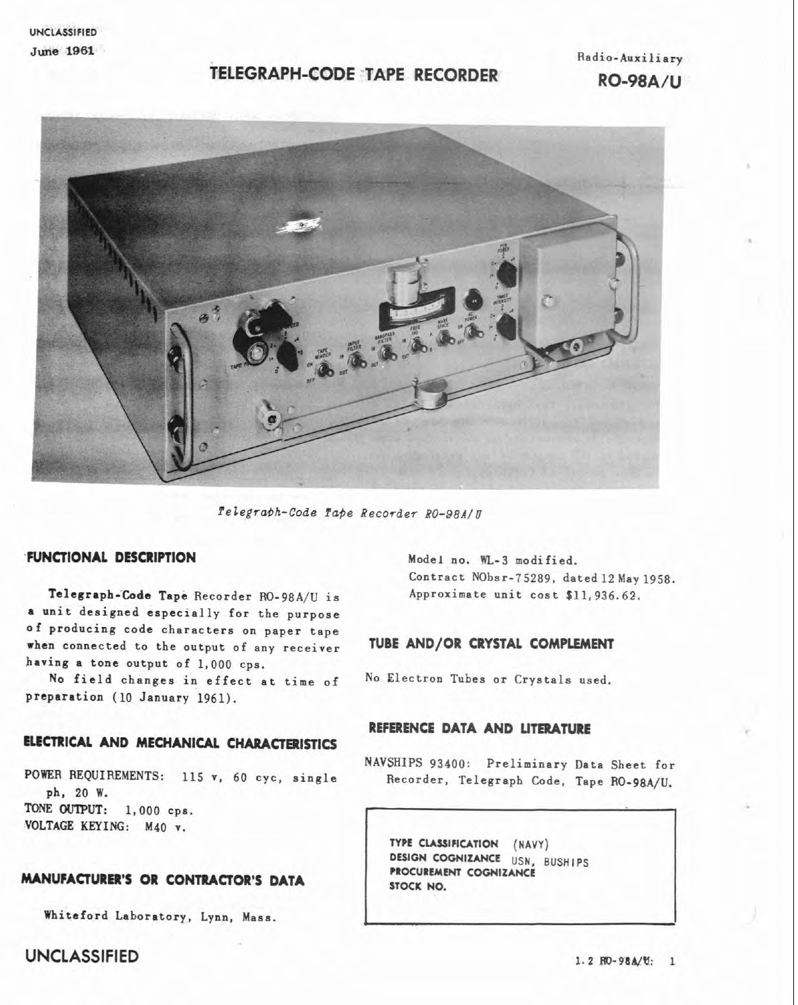**UNCLASSIFIED**  June **1861** 

## **TELEGRAPH-CODE TAPE RECORDER**

Radio-Auxiliary **RO-98A/U** 



*felegrobh-Code fafie Recorder* **RO-98A/U** 

#### **-FUNCTIONAL DESCRIPTION** Model no. **WL-3** modified.

Telegraph-Code Tape Recorder RO-98A/U is Approximate unit cost \$11,936.62. anit designed especially for the purpose of producing code characters on paper tape when connected to the output of any receiver **TUBE AND/OR CRYSTAL COMPLEMENT** having a tone output of 1,000 eps.

No field changes in effect at time of No Electron Tubes or Crystals used. preparation (10 January 1961).

#### **ELECTRICAL AND MECHANICAL CHARACTERISTICS**

ph, 20 W. TONE OUTPUT: 1,000 cps. VOLTAGE KEYING: M40 **r.** 

#### **MANUFACTURER'S OR CONTRACIOR'S DATA**

Whiteford Laboratory, Lynn, Mass.

**UNCLASSIFIED** 1.2 **RO-98A/U:** 1

Contract NObsr-75289, dated 12 May 1958.

### **REFERENCE DATA AND LITERATURE**

NAVSHIPS 93400: Preliminary Data Sheet for POWR REQUIREMENTS: 115 **r,** 60 cyc, single Recorder, Telegraph **Code,** Tape RO-98A/U.

> **TYPE CLASSIFICATION (NAVY) DESIGN COGNIZANCE USN, BUSHIPS PROCUREMENT COGNIZANCE STOCK NO.**